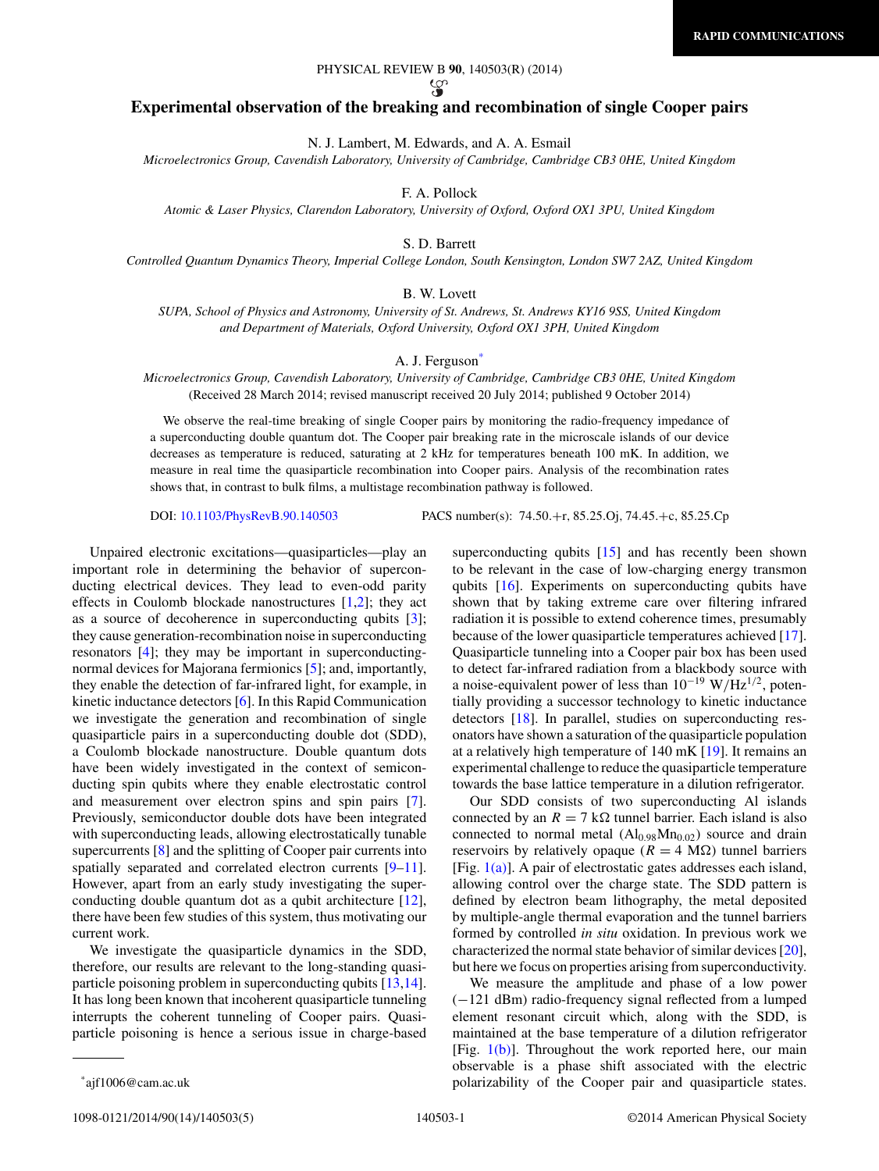# ပ္စာ

# **Experimental observation of the breaking and recombination of single Cooper pairs**

N. J. Lambert, M. Edwards, and A. A. Esmail

*Microelectronics Group, Cavendish Laboratory, University of Cambridge, Cambridge CB3 0HE, United Kingdom*

F. A. Pollock

*Atomic & Laser Physics, Clarendon Laboratory, University of Oxford, Oxford OX1 3PU, United Kingdom*

S. D. Barrett

*Controlled Quantum Dynamics Theory, Imperial College London, South Kensington, London SW7 2AZ, United Kingdom*

# B. W. Lovett

*SUPA, School of Physics and Astronomy, University of St. Andrews, St. Andrews KY16 9SS, United Kingdom and Department of Materials, Oxford University, Oxford OX1 3PH, United Kingdom*

### A. J. Ferguson<sup>\*</sup>

*Microelectronics Group, Cavendish Laboratory, University of Cambridge, Cambridge CB3 0HE, United Kingdom* (Received 28 March 2014; revised manuscript received 20 July 2014; published 9 October 2014)

We observe the real-time breaking of single Cooper pairs by monitoring the radio-frequency impedance of a superconducting double quantum dot. The Cooper pair breaking rate in the microscale islands of our device decreases as temperature is reduced, saturating at 2 kHz for temperatures beneath 100 mK. In addition, we measure in real time the quasiparticle recombination into Cooper pairs. Analysis of the recombination rates shows that, in contrast to bulk films, a multistage recombination pathway is followed.

DOI: [10.1103/PhysRevB.90.140503](http://dx.doi.org/10.1103/PhysRevB.90.140503) PACS number(s): 74*.*50*.*+r*,* 85*.*25*.*Oj*,* 74*.*45*.*+c*,* 85*.*25*.*Cp

Unpaired electronic excitations—quasiparticles—play an important role in determining the behavior of superconducting electrical devices. They lead to even-odd parity effects in Coulomb blockade nanostructures [\[1,2\]](#page-3-0); they act as a source of decoherence in superconducting qubits [\[3\]](#page-3-0); they cause generation-recombination noise in superconducting resonators [\[4\]](#page-3-0); they may be important in superconductingnormal devices for Majorana fermionics [\[5\]](#page-3-0); and, importantly, they enable the detection of far-infrared light, for example, in kinetic inductance detectors [\[6\]](#page-3-0). In this Rapid Communication we investigate the generation and recombination of single quasiparticle pairs in a superconducting double dot (SDD), a Coulomb blockade nanostructure. Double quantum dots have been widely investigated in the context of semiconducting spin qubits where they enable electrostatic control and measurement over electron spins and spin pairs [\[7\]](#page-3-0). Previously, semiconductor double dots have been integrated with superconducting leads, allowing electrostatically tunable supercurrents [\[8\]](#page-3-0) and the splitting of Cooper pair currents into spatially separated and correlated electron currents [\[9–11\]](#page-3-0). However, apart from an early study investigating the superconducting double quantum dot as a qubit architecture [\[12\]](#page-3-0), there have been few studies of this system, thus motivating our current work.

We investigate the quasiparticle dynamics in the SDD, therefore, our results are relevant to the long-standing quasiparticle poisoning problem in superconducting qubits [\[13,14\]](#page-3-0). It has long been known that incoherent quasiparticle tunneling interrupts the coherent tunneling of Cooper pairs. Quasiparticle poisoning is hence a serious issue in charge-based superconducting qubits [\[15\]](#page-3-0) and has recently been shown to be relevant in the case of low-charging energy transmon qubits [\[16\]](#page-3-0). Experiments on superconducting qubits have shown that by taking extreme care over filtering infrared radiation it is possible to extend coherence times, presumably because of the lower quasiparticle temperatures achieved [\[17\]](#page-3-0). Quasiparticle tunneling into a Cooper pair box has been used to detect far-infrared radiation from a blackbody source with a noise-equivalent power of less than  $10^{-19}$  W/Hz<sup>1/2</sup>, potentially providing a successor technology to kinetic inductance detectors [\[18\]](#page-3-0). In parallel, studies on superconducting resonators have shown a saturation of the quasiparticle population at a relatively high temperature of 140 mK [\[19\]](#page-3-0). It remains an experimental challenge to reduce the quasiparticle temperature towards the base lattice temperature in a dilution refrigerator.

Our SDD consists of two superconducting Al islands connected by an  $R = 7 \text{ k}\Omega$  tunnel barrier. Each island is also connected to normal metal  $(Al<sub>0.98</sub>Mn<sub>0.02</sub>)$  source and drain reservoirs by relatively opaque ( $R = 4$  M $\Omega$ ) tunnel barriers [Fig. [1\(a\)\]](#page-1-0). A pair of electrostatic gates addresses each island, allowing control over the charge state. The SDD pattern is defined by electron beam lithography, the metal deposited by multiple-angle thermal evaporation and the tunnel barriers formed by controlled *in situ* oxidation. In previous work we characterized the normal state behavior of similar devices [\[20\]](#page-4-0), but here we focus on properties arising from superconductivity.

We measure the amplitude and phase of a low power (−121 dBm) radio-frequency signal reflected from a lumped element resonant circuit which, along with the SDD, is maintained at the base temperature of a dilution refrigerator [Fig.  $1(b)$ ]. Throughout the work reported here, our main observable is a phase shift associated with the electric polarizability of the Cooper pair and quasiparticle states.

<sup>\*</sup>ajf1006@cam.ac.uk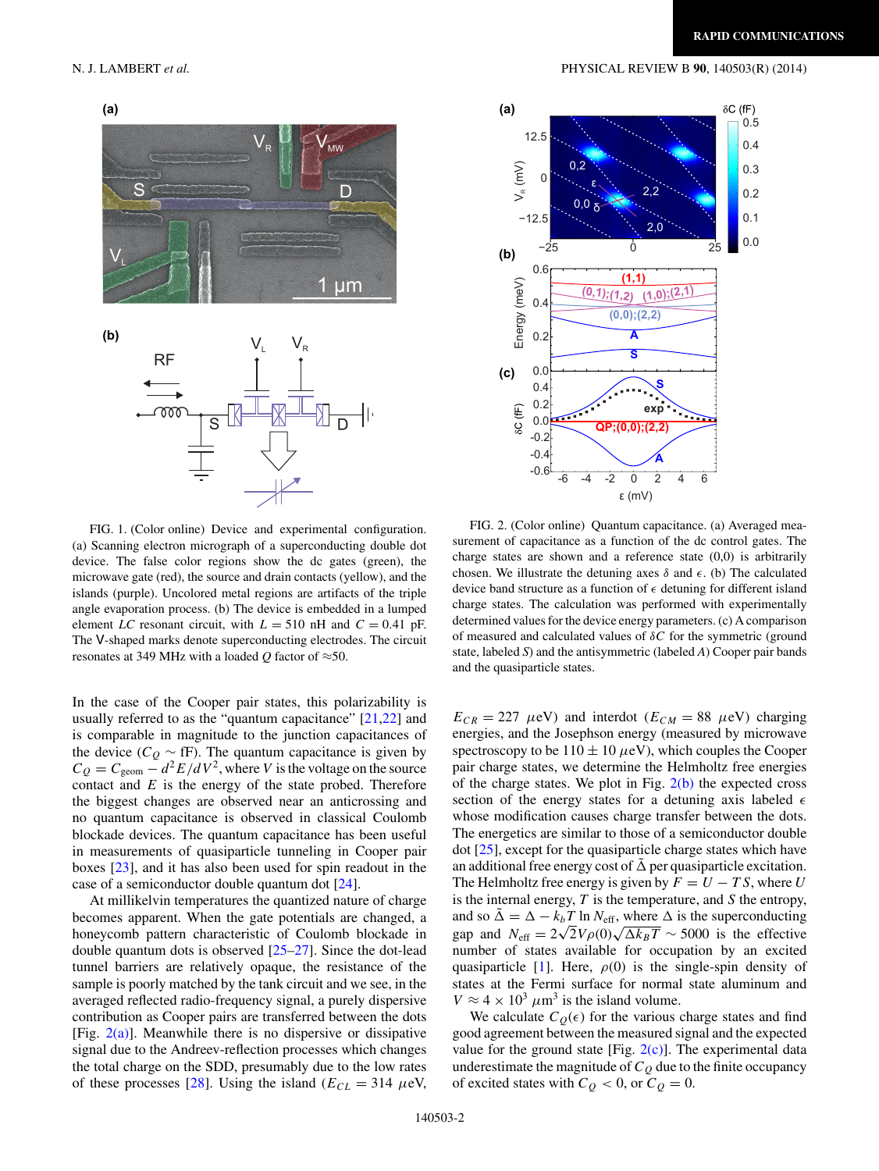<span id="page-1-0"></span>

FIG. 1. (Color online) Device and experimental configuration. (a) Scanning electron micrograph of a superconducting double dot device. The false color regions show the dc gates (green), the microwave gate (red), the source and drain contacts (yellow), and the islands (purple). Uncolored metal regions are artifacts of the triple angle evaporation process. (b) The device is embedded in a lumped element *LC* resonant circuit, with  $L = 510$  nH and  $C = 0.41$  pF. The V-shaped marks denote superconducting electrodes. The circuit resonates at 349 MHz with a loaded  $Q$  factor of  $\approx$ 50.

In the case of the Cooper pair states, this polarizability is usually referred to as the "quantum capacitance" [\[21,22\]](#page-4-0) and is comparable in magnitude to the junction capacitances of the device ( $C_Q \sim fF$ ). The quantum capacitance is given by  $C_Q = C_{\text{geom}} - d^2 E/dV^2$ , where *V* is the voltage on the source contact and *E* is the energy of the state probed. Therefore the biggest changes are observed near an anticrossing and no quantum capacitance is observed in classical Coulomb blockade devices. The quantum capacitance has been useful in measurements of quasiparticle tunneling in Cooper pair boxes [\[23\]](#page-4-0), and it has also been used for spin readout in the case of a semiconductor double quantum dot [\[24\]](#page-4-0).

At millikelvin temperatures the quantized nature of charge becomes apparent. When the gate potentials are changed, a honeycomb pattern characteristic of Coulomb blockade in double quantum dots is observed [\[25–27\]](#page-4-0). Since the dot-lead tunnel barriers are relatively opaque, the resistance of the sample is poorly matched by the tank circuit and we see, in the averaged reflected radio-frequency signal, a purely dispersive contribution as Cooper pairs are transferred between the dots [Fig.  $2(a)$ ]. Meanwhile there is no dispersive or dissipative signal due to the Andreev-reflection processes which changes the total charge on the SDD, presumably due to the low rates of these processes [\[28\]](#page-4-0). Using the island  $(E_{CL} = 314 \ \mu\text{eV}$ ,



FIG. 2. (Color online) Quantum capacitance. (a) Averaged measurement of capacitance as a function of the dc control gates. The charge states are shown and a reference state (0,0) is arbitrarily chosen. We illustrate the detuning axes  $\delta$  and  $\epsilon$ . (b) The calculated device band structure as a function of  $\epsilon$  detuning for different island charge states. The calculation was performed with experimentally determined values for the device energy parameters. (c) A comparison of measured and calculated values of *δC* for the symmetric (ground state, labeled *S*) and the antisymmetric (labeled *A*) Cooper pair bands and the quasiparticle states.

 $E_{CR} = 227 \mu\text{eV}$ ) and interdot ( $E_{CM} = 88 \mu\text{eV}$ ) charging energies, and the Josephson energy (measured by microwave spectroscopy to be  $110 \pm 10 \,\mu\text{eV}$ ), which couples the Cooper pair charge states, we determine the Helmholtz free energies of the charge states. We plot in Fig.  $2(b)$  the expected cross section of the energy states for a detuning axis labeled  $\epsilon$ whose modification causes charge transfer between the dots. The energetics are similar to those of a semiconductor double dot [\[25\]](#page-4-0), except for the quasiparticle charge states which have an additional free energy cost of  $\tilde{\Delta}$  per quasiparticle excitation. The Helmholtz free energy is given by  $F = U - TS$ , where *U* is the internal energy, *T* is the temperature, and *S* the entropy, and so  $\tilde{\Delta} = \Delta - k_b T \ln N_{\text{eff}}$ , where  $\Delta$  is the superconducting gap and  $N_{\text{eff}} = 2\sqrt{2}V\rho(0)\sqrt{\Delta k_BT} \sim 5000$  is the effective number of states available for occupation by an excited quasiparticle [\[1\]](#page-3-0). Here,  $\rho(0)$  is the single-spin density of states at the Fermi surface for normal state aluminum and  $V \approx 4 \times 10^3 \ \mu \text{m}^3$  is the island volume.

We calculate  $C_Q(\epsilon)$  for the various charge states and find good agreement between the measured signal and the expected value for the ground state [Fig.  $2(c)$ ]. The experimental data underestimate the magnitude of  $C_Q$  due to the finite occupancy of excited states with  $C_Q < 0$ , or  $C_Q = 0$ .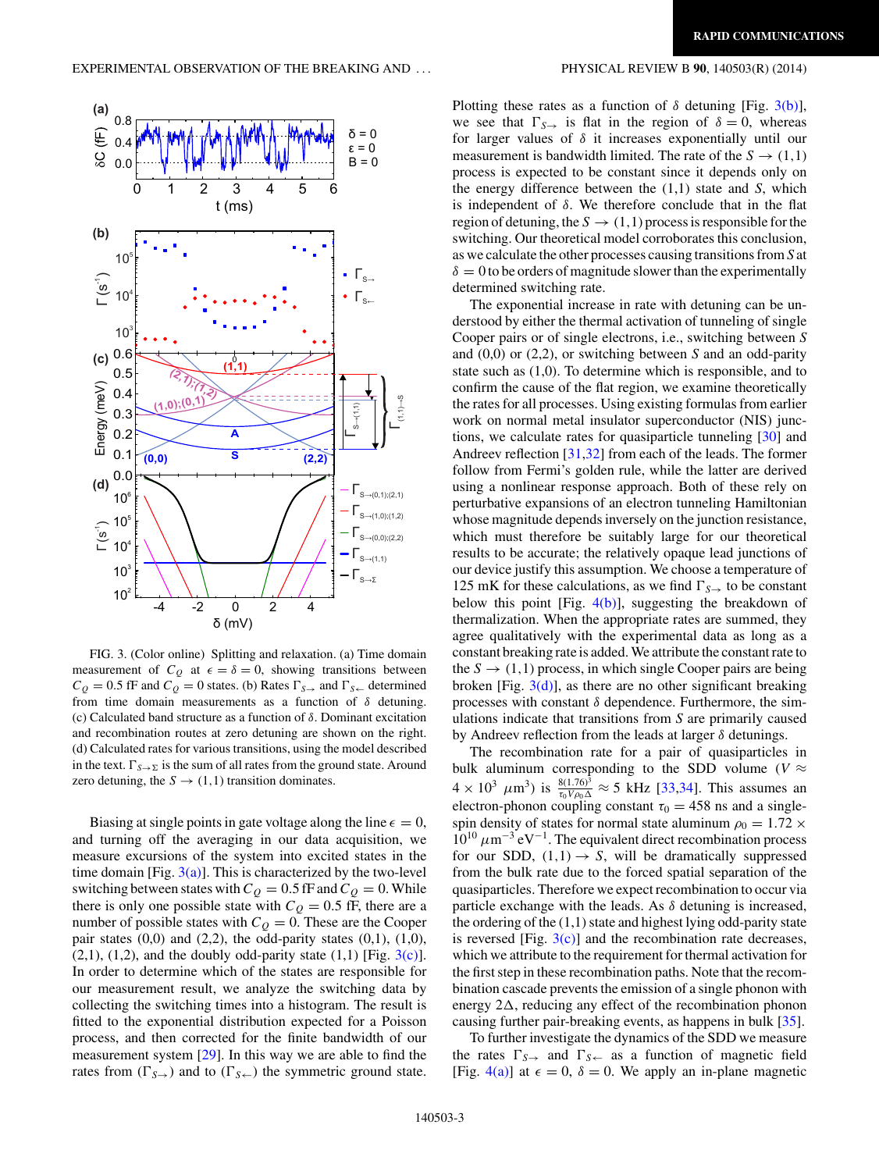

FIG. 3. (Color online) Splitting and relaxation. (a) Time domain measurement of  $C_Q$  at  $\epsilon = \delta = 0$ , showing transitions between  $C_Q = 0.5$  fF and  $C_Q = 0$  states. (b) Rates  $\Gamma_{S\rightarrow}$  and  $\Gamma_{S\leftarrow}$  determined from time domain measurements as a function of *δ* detuning. (c) Calculated band structure as a function of *δ*. Dominant excitation and recombination routes at zero detuning are shown on the right. (d) Calculated rates for various transitions, using the model described in the text.  $\Gamma_{S\to\Sigma}$  is the sum of all rates from the ground state. Around zero detuning, the  $S \rightarrow (1,1)$  transition dominates.

Biasing at single points in gate voltage along the line  $\epsilon = 0$ , and turning off the averaging in our data acquisition, we measure excursions of the system into excited states in the time domain [Fig.  $3(a)$ ]. This is characterized by the two-level switching between states with  $C_Q = 0.5$  fF and  $C_Q = 0$ . While there is only one possible state with  $C_Q = 0.5$  fF, there are a number of possible states with  $C_Q = 0$ . These are the Cooper pair states  $(0,0)$  and  $(2,2)$ , the odd-parity states  $(0,1)$ ,  $(1,0)$ ,  $(2,1)$ ,  $(1,2)$ , and the doubly odd-parity state  $(1,1)$  [Fig.  $3(c)$ ]. In order to determine which of the states are responsible for our measurement result, we analyze the switching data by collecting the switching times into a histogram. The result is fitted to the exponential distribution expected for a Poisson process, and then corrected for the finite bandwidth of our measurement system [\[29\]](#page-4-0). In this way we are able to find the rates from  $(\Gamma_{S\rightarrow})$  and to  $(\Gamma_{S\leftarrow})$  the symmetric ground state.

Plotting these rates as a function of  $\delta$  detuning [Fig. 3(b)], we see that  $\Gamma_{S\rightarrow}$  is flat in the region of  $\delta = 0$ , whereas for larger values of *δ* it increases exponentially until our measurement is bandwidth limited. The rate of the  $S \rightarrow (1,1)$ process is expected to be constant since it depends only on the energy difference between the (1,1) state and *S*, which is independent of *δ*. We therefore conclude that in the flat region of detuning, the  $S \rightarrow (1,1)$  process is responsible for the switching. Our theoretical model corroborates this conclusion, as we calculate the other processes causing transitions from *S* at  $\delta = 0$  to be orders of magnitude slower than the experimentally determined switching rate.

The exponential increase in rate with detuning can be understood by either the thermal activation of tunneling of single Cooper pairs or of single electrons, i.e., switching between *S* and (0,0) or (2,2), or switching between *S* and an odd-parity state such as (1,0). To determine which is responsible, and to confirm the cause of the flat region, we examine theoretically the rates for all processes. Using existing formulas from earlier work on normal metal insulator superconductor (NIS) junctions, we calculate rates for quasiparticle tunneling [\[30\]](#page-4-0) and Andreev reflection [\[31,32\]](#page-4-0) from each of the leads. The former follow from Fermi's golden rule, while the latter are derived using a nonlinear response approach. Both of these rely on perturbative expansions of an electron tunneling Hamiltonian whose magnitude depends inversely on the junction resistance, which must therefore be suitably large for our theoretical results to be accurate; the relatively opaque lead junctions of our device justify this assumption. We choose a temperature of 125 mK for these calculations, as we find  $\Gamma_{S\rightarrow}$  to be constant below this point [Fig.  $4(b)$ ], suggesting the breakdown of thermalization. When the appropriate rates are summed, they agree qualitatively with the experimental data as long as a constant breaking rate is added.We attribute the constant rate to the  $S \rightarrow (1,1)$  process, in which single Cooper pairs are being broken [Fig.  $3(d)$ ], as there are no other significant breaking processes with constant *δ* dependence. Furthermore, the simulations indicate that transitions from *S* are primarily caused by Andreev reflection from the leads at larger *δ* detunings.

The recombination rate for a pair of quasiparticles in bulk aluminum corresponding to the SDD volume ( $V \approx$  $4 \times 10^3 \ \mu \text{m}^3$ ) is  $\frac{8(1.76)^3}{\tau_0 V \rho_0 \Delta} \approx 5 \text{ kHz}$  [\[33,34\]](#page-4-0). This assumes an electron-phonon coupling constant  $\tau_0 = 458$  ns and a singlespin density of states for normal state aluminum  $\rho_0 = 1.72 \times$  $10^{10} \mu m^{-3} eV^{-1}$ . The equivalent direct recombination process for our SDD,  $(1,1) \rightarrow S$ , will be dramatically suppressed from the bulk rate due to the forced spatial separation of the quasiparticles. Therefore we expect recombination to occur via particle exchange with the leads. As *δ* detuning is increased, the ordering of the  $(1,1)$  state and highest lying odd-parity state is reversed [Fig.  $3(c)$ ] and the recombination rate decreases, which we attribute to the requirement for thermal activation for the first step in these recombination paths. Note that the recombination cascade prevents the emission of a single phonon with energy  $2\Delta$ , reducing any effect of the recombination phonon causing further pair-breaking events, as happens in bulk [\[35\]](#page-4-0).

To further investigate the dynamics of the SDD we measure the rates  $\Gamma_{S\rightarrow}$  and  $\Gamma_{S\leftarrow}$  as a function of magnetic field [Fig. [4\(a\)\]](#page-3-0) at  $\epsilon = 0$ ,  $\delta = 0$ . We apply an in-plane magnetic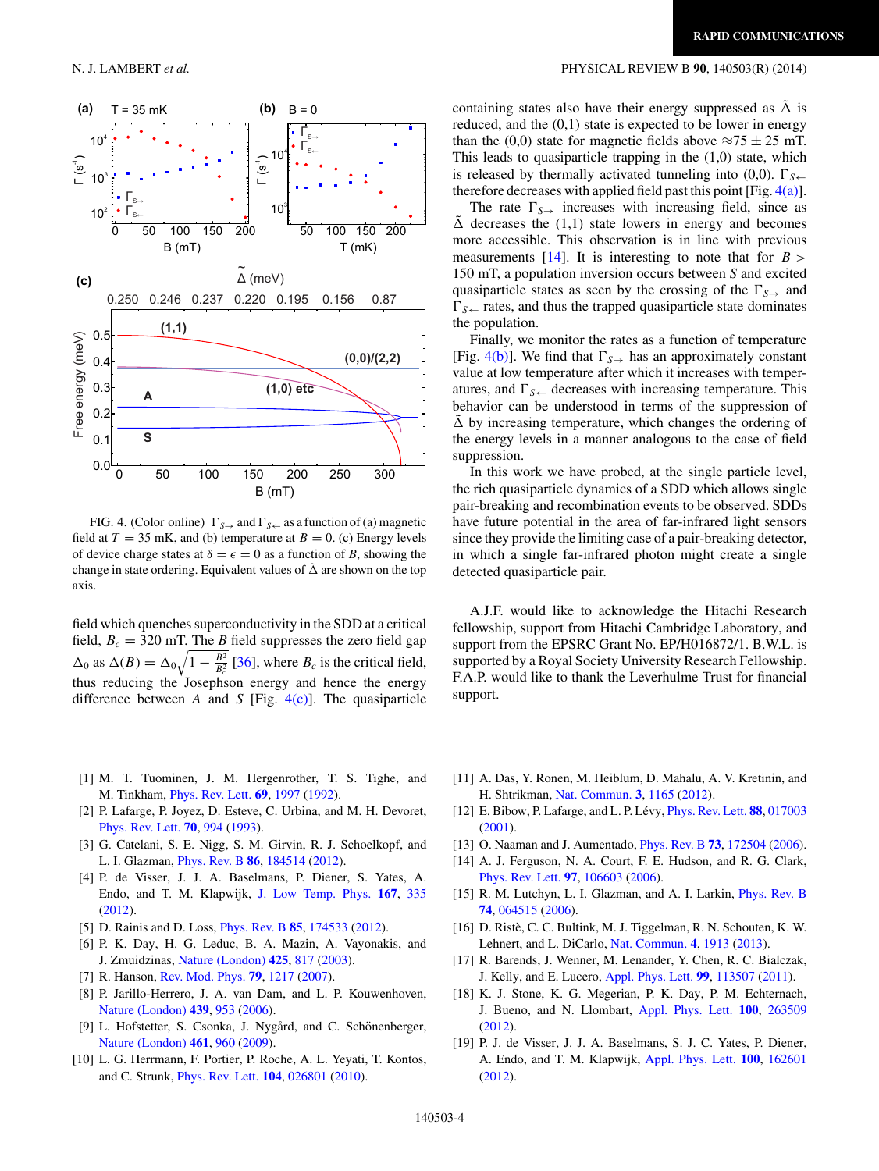

FIG. 4. (Color online)  $\Gamma_{S\rightarrow}$  and  $\Gamma_{S\leftarrow}$  as a function of (a) magnetic field at  $T = 35$  mK, and (b) temperature at  $B = 0$ . (c) Energy levels of device charge states at  $\delta = \epsilon = 0$  as a function of *B*, showing the change in state ordering. Equivalent values of  $\tilde{\Delta}$  are shown on the top axis.

field which quenches superconductivity in the SDD at a critical field,  $B_c = 320$  mT. The *B* field suppresses the zero field gap  $\Delta_0$  as  $\Delta(B) = \Delta_0 \sqrt{1 - \frac{B^2}{B_c^2}}$  [\[36\]](#page-4-0), where  $B_c$  is the critical field, thus reducing the Josephson energy and hence the energy difference between *A* and *S* [Fig. 4(c)]. The quasiparticle

# <span id="page-3-0"></span>N. J. LAMBERT *et al.* PHYSICAL REVIEW B **90**, 140503(R) (2014)

containing states also have their energy suppressed as  $\Delta$  is reduced, and the  $(0,1)$  state is expected to be lower in energy than the (0,0) state for magnetic fields above  $\approx 75 \pm 25$  mT. This leads to quasiparticle trapping in the (1,0) state, which is released by thermally activated tunneling into (0,0).  $\Gamma_{S \leftarrow}$ therefore decreases with applied field past this point [Fig.  $4(a)$ ].

The rate  $\Gamma_{S\rightarrow}$  increases with increasing field, since as  $\tilde{\Delta}$  decreases the (1,1) state lowers in energy and becomes more accessible. This observation is in line with previous measurements  $[14]$ . It is interesting to note that for  $B >$ 150 mT, a population inversion occurs between *S* and excited quasiparticle states as seen by the crossing of the  $\Gamma_{S\rightarrow}$  and  $\Gamma_{\mathcal{S}\leftarrow}$  rates, and thus the trapped quasiparticle state dominates the population.

Finally, we monitor the rates as a function of temperature [Fig. 4(b)]. We find that  $\Gamma_{S\rightarrow}$  has an approximately constant value at low temperature after which it increases with temperatures, and  $\Gamma_{S\leftarrow}$  decreases with increasing temperature. This behavior can be understood in terms of the suppression of  $\Delta$  by increasing temperature, which changes the ordering of the energy levels in a manner analogous to the case of field suppression.

In this work we have probed, at the single particle level, the rich quasiparticle dynamics of a SDD which allows single pair-breaking and recombination events to be observed. SDDs have future potential in the area of far-infrared light sensors since they provide the limiting case of a pair-breaking detector, in which a single far-infrared photon might create a single detected quasiparticle pair.

A.J.F. would like to acknowledge the Hitachi Research fellowship, support from Hitachi Cambridge Laboratory, and support from the EPSRC Grant No. EP/H016872/1. B.W.L. is supported by a Royal Society University Research Fellowship. F.A.P. would like to thank the Leverhulme Trust for financial support.

- [1] M. T. Tuominen, J. M. Hergenrother, T. S. Tighe, and M. Tinkham, [Phys. Rev. Lett.](http://dx.doi.org/10.1103/PhysRevLett.69.1997) **[69](http://dx.doi.org/10.1103/PhysRevLett.69.1997)**, [1997](http://dx.doi.org/10.1103/PhysRevLett.69.1997) [\(1992\)](http://dx.doi.org/10.1103/PhysRevLett.69.1997).
- [2] P. Lafarge, P. Joyez, D. Esteve, C. Urbina, and M. H. Devoret, [Phys. Rev. Lett.](http://dx.doi.org/10.1103/PhysRevLett.70.994) **[70](http://dx.doi.org/10.1103/PhysRevLett.70.994)**, [994](http://dx.doi.org/10.1103/PhysRevLett.70.994) [\(1993\)](http://dx.doi.org/10.1103/PhysRevLett.70.994).
- [3] G. Catelani, S. E. Nigg, S. M. Girvin, R. J. Schoelkopf, and L. I. Glazman, [Phys. Rev. B](http://dx.doi.org/10.1103/PhysRevB.86.184514) **[86](http://dx.doi.org/10.1103/PhysRevB.86.184514)**, [184514](http://dx.doi.org/10.1103/PhysRevB.86.184514) [\(2012\)](http://dx.doi.org/10.1103/PhysRevB.86.184514).
- [4] P. de Visser, J. J. A. Baselmans, P. Diener, S. Yates, A. Endo, and T. M. Klapwijk, [J. Low Temp. Phys.](http://dx.doi.org/10.1007/s10909-012-0519-5) **[167](http://dx.doi.org/10.1007/s10909-012-0519-5)**, [335](http://dx.doi.org/10.1007/s10909-012-0519-5) [\(2012\)](http://dx.doi.org/10.1007/s10909-012-0519-5).
- [5] D. Rainis and D. Loss, [Phys. Rev. B](http://dx.doi.org/10.1103/PhysRevB.85.174533) **[85](http://dx.doi.org/10.1103/PhysRevB.85.174533)**, [174533](http://dx.doi.org/10.1103/PhysRevB.85.174533) [\(2012\)](http://dx.doi.org/10.1103/PhysRevB.85.174533).
- [6] P. K. Day, H. G. Leduc, B. A. Mazin, A. Vayonakis, and J. Zmuidzinas, [Nature \(London\)](http://dx.doi.org/10.1038/nature02037) **[425](http://dx.doi.org/10.1038/nature02037)**, [817](http://dx.doi.org/10.1038/nature02037) [\(2003\)](http://dx.doi.org/10.1038/nature02037).
- [7] R. Hanson, [Rev. Mod. Phys.](http://dx.doi.org/10.1103/RevModPhys.79.1217) **[79](http://dx.doi.org/10.1103/RevModPhys.79.1217)**, [1217](http://dx.doi.org/10.1103/RevModPhys.79.1217) [\(2007\)](http://dx.doi.org/10.1103/RevModPhys.79.1217).
- [8] P. Jarillo-Herrero, J. A. van Dam, and L. P. Kouwenhoven, [Nature \(London\)](http://dx.doi.org/10.1038/nature04550) **[439](http://dx.doi.org/10.1038/nature04550)**, [953](http://dx.doi.org/10.1038/nature04550) [\(2006\)](http://dx.doi.org/10.1038/nature04550).
- [9] L. Hofstetter, S. Csonka, J. Nygård, and C. Schönenberger, [Nature \(London\)](http://dx.doi.org/10.1038/nature08432) **[461](http://dx.doi.org/10.1038/nature08432)**, [960](http://dx.doi.org/10.1038/nature08432) [\(2009\)](http://dx.doi.org/10.1038/nature08432).
- [10] L. G. Herrmann, F. Portier, P. Roche, A. L. Yeyati, T. Kontos, and C. Strunk, [Phys. Rev. Lett.](http://dx.doi.org/10.1103/PhysRevLett.104.026801) **[104](http://dx.doi.org/10.1103/PhysRevLett.104.026801)**, [026801](http://dx.doi.org/10.1103/PhysRevLett.104.026801) [\(2010\)](http://dx.doi.org/10.1103/PhysRevLett.104.026801).
- [11] A. Das, Y. Ronen, M. Heiblum, D. Mahalu, A. V. Kretinin, and H. Shtrikman, [Nat. Commun.](http://dx.doi.org/10.1038/ncomms2169) **[3](http://dx.doi.org/10.1038/ncomms2169)**, [1165](http://dx.doi.org/10.1038/ncomms2169) [\(2012\)](http://dx.doi.org/10.1038/ncomms2169).
- [12] E. Bibow, P. Lafarge, and L. P. Lévy, *[Phys. Rev. Lett.](http://dx.doi.org/10.1103/PhysRevLett.88.017003)* **[88](http://dx.doi.org/10.1103/PhysRevLett.88.017003)**, [017003](http://dx.doi.org/10.1103/PhysRevLett.88.017003) [\(2001\)](http://dx.doi.org/10.1103/PhysRevLett.88.017003).
- [13] O. Naaman and J. Aumentado, [Phys. Rev. B](http://dx.doi.org/10.1103/PhysRevB.73.172504) **[73](http://dx.doi.org/10.1103/PhysRevB.73.172504)**, [172504](http://dx.doi.org/10.1103/PhysRevB.73.172504) [\(2006\)](http://dx.doi.org/10.1103/PhysRevB.73.172504).
- [14] A. J. Ferguson, N. A. Court, F. E. Hudson, and R. G. Clark, [Phys. Rev. Lett.](http://dx.doi.org/10.1103/PhysRevLett.97.106603) **[97](http://dx.doi.org/10.1103/PhysRevLett.97.106603)**, [106603](http://dx.doi.org/10.1103/PhysRevLett.97.106603) [\(2006\)](http://dx.doi.org/10.1103/PhysRevLett.97.106603).
- [15] R. M. Lutchyn, L. I. Glazman, and A. I. Larkin, [Phys. Rev. B](http://dx.doi.org/10.1103/PhysRevB.74.064515) **[74](http://dx.doi.org/10.1103/PhysRevB.74.064515)**, [064515](http://dx.doi.org/10.1103/PhysRevB.74.064515) [\(2006\)](http://dx.doi.org/10.1103/PhysRevB.74.064515).
- [16] D. Ristè, C. C. Bultink, M. J. Tiggelman, R. N. Schouten, K. W. Lehnert, and L. DiCarlo, [Nat. Commun.](http://dx.doi.org/10.1038/ncomms2936) **[4](http://dx.doi.org/10.1038/ncomms2936)**, [1913](http://dx.doi.org/10.1038/ncomms2936) [\(2013\)](http://dx.doi.org/10.1038/ncomms2936).
- [17] R. Barends, J. Wenner, M. Lenander, Y. Chen, R. C. Bialczak, J. Kelly, and E. Lucero, [Appl. Phys. Lett.](http://dx.doi.org/10.1063/1.3638063) **[99](http://dx.doi.org/10.1063/1.3638063)**, [113507](http://dx.doi.org/10.1063/1.3638063) [\(2011\)](http://dx.doi.org/10.1063/1.3638063).
- [18] K. J. Stone, K. G. Megerian, P. K. Day, P. M. Echternach, J. Bueno, and N. Llombart, [Appl. Phys. Lett.](http://dx.doi.org/10.1063/1.4731880) **[100](http://dx.doi.org/10.1063/1.4731880)**, [263509](http://dx.doi.org/10.1063/1.4731880) [\(2012\)](http://dx.doi.org/10.1063/1.4731880).
- [19] P. J. de Visser, J. J. A. Baselmans, S. J. C. Yates, P. Diener, A. Endo, and T. M. Klapwijk, [Appl. Phys. Lett.](http://dx.doi.org/10.1063/1.4704151) **[100](http://dx.doi.org/10.1063/1.4704151)**, [162601](http://dx.doi.org/10.1063/1.4704151) [\(2012\)](http://dx.doi.org/10.1063/1.4704151).